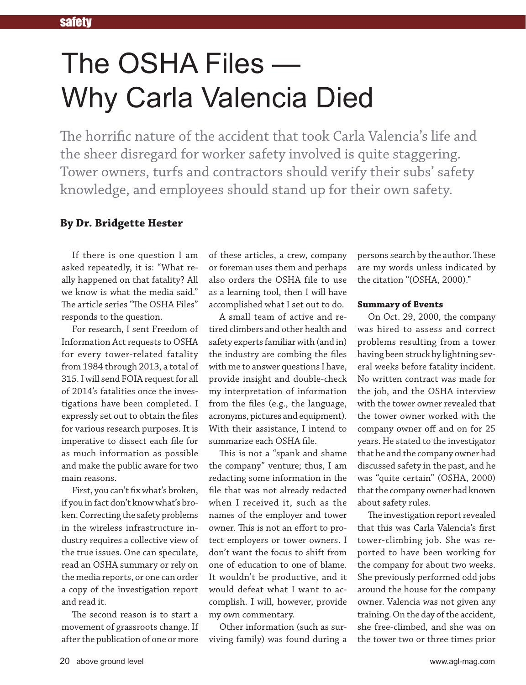# The OSHA Files — Why Carla Valencia Died

The horrific nature of the accident that took Carla Valencia's life and the sheer disregard for worker safety involved is quite staggering. Tower owners, turfs and contractors should verify their subs' safety knowledge, and employees should stand up for their own safety.

# **By Dr. Bridgette Hester**

If there is one question I am asked repeatedly, it is: "What really happened on that fatality? All we know is what the media said." The article series "The OSHA Files" responds to the question.

For research, I sent Freedom of Information Act requests to OSHA for every tower-related fatality from 1984 through 2013, a total of 315. I will send FOIA request for all of 2014's fatalities once the investigations have been completed. I expressly set out to obtain the files for various research purposes. It is imperative to dissect each file for as much information as possible and make the public aware for two main reasons.

First, you can't fix what's broken, if you in fact don't know what's broken. Correcting the safety problems in the wireless infrastructure industry requires a collective view of the true issues. One can speculate, read an OSHA summary or rely on the media reports, or one can order a copy of the investigation report and read it.

The second reason is to start a movement of grassroots change. If after the publication of one or more of these articles, a crew, company or foreman uses them and perhaps also orders the OSHA file to use as a learning tool, then I will have accomplished what I set out to do.

A small team of active and retired climbers and other health and safety experts familiar with (and in) the industry are combing the files with me to answer questions I have, provide insight and double-check my interpretation of information from the files (e.g., the language, acronyms, pictures and equipment). With their assistance, I intend to summarize each OSHA file.

This is not a "spank and shame the company" venture; thus, I am redacting some information in the file that was not already redacted when I received it, such as the names of the employer and tower owner. This is not an effort to protect employers or tower owners. I don't want the focus to shift from one of education to one of blame. It wouldn't be productive, and it would defeat what I want to accomplish. I will, however, provide my own commentary.

Other information (such as surviving family) was found during a

persons search by the author. These are my words unless indicated by the citation "(OSHA, 2000)."

#### **Summary of Events**

On Oct. 29, 2000, the company was hired to assess and correct problems resulting from a tower having been struck by lightning several weeks before fatality incident. No written contract was made for the job, and the OSHA interview with the tower owner revealed that the tower owner worked with the company owner off and on for 25 years. He stated to the investigator that he and the company owner had discussed safety in the past, and he was "quite certain" (OSHA, 2000) that the company owner had known about safety rules.

The investigation report revealed that this was Carla Valencia's first tower-climbing job. She was reported to have been working for the company for about two weeks. She previously performed odd jobs around the house for the company owner. Valencia was not given any training. On the day of the accident, she free-climbed, and she was on the tower two or three times prior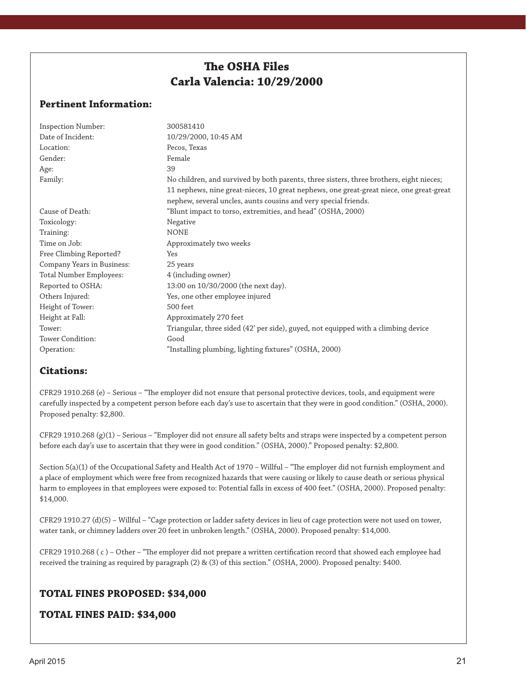# **The OSHA Files Carla Valencia: 10/29/2000**

### **Pertinent Information:**

| <b>Inspection Number:</b>  | 300581410                                                                               |
|----------------------------|-----------------------------------------------------------------------------------------|
| Date of Incident:          | 10/29/2000, 10:45 AM                                                                    |
| Location:                  | Pecos, Texas                                                                            |
| Gender:                    | Female                                                                                  |
| Age:                       | 39                                                                                      |
| Family:                    | No children, and survived by both parents, three sisters, three brothers, eight nieces; |
|                            | 11 nephews, nine great-nieces, 10 great nephews, one great-great niece, one great-great |
|                            | nephew, several uncles, aunts cousins and very special friends.                         |
| Cause of Death:            | "Blunt impact to torso, extremities, and head" (OSHA, 2000)                             |
| Toxicology:                | Negative                                                                                |
| Training:                  | <b>NONE</b>                                                                             |
| Time on Job:               | Approximately two weeks                                                                 |
| Free Climbing Reported?    | Yes                                                                                     |
| Company Years in Business: | 25 years                                                                                |
| Total Number Employees:    | 4 (including owner)                                                                     |
| Reported to OSHA:          | 13:00 on 10/30/2000 (the next day).                                                     |
| Others Injured:            | Yes, one other employee injured                                                         |
| Height of Tower:           | 500 feet                                                                                |
| Height at Fall:            | Approximately 270 feet                                                                  |
| Tower:                     | Triangular, three sided (42' per side), guyed, not equipped with a climbing device      |
| Tower Condition:           | Good                                                                                    |
| Operation:                 | "Installing plumbing, lighting fixtures" (OSHA, 2000)                                   |

## **Citations:**

CFR29 1910.268 (e) – Serious – "The employer did not ensure that personal protective devices, tools, and equipment were carefully inspected by a competent person before each day's use to ascertain that they were in good condition." (OSHA, 2000). Proposed penalty: \$2,800.

CFR29 1910.268 (g)(1) – Serious – "Employer did not ensure all safety belts and straps were inspected by a competent person before each day's use to ascertain that they were in good condition." (OSHA, 2000)." Proposed penalty: \$2,800.

Section 5(a)(1) of the Occupational Safety and Health Act of 1970 – Willful – "The employer did not furnish employment and a place of employment which were free from recognized hazards that were causing or likely to cause death or serious physical harm to employees in that employees were exposed to: Potential falls in excess of 400 feet." (OSHA, 2000). Proposed penalty: \$14,000.

CFR29 1910.27 (d)(5) – Willful – "Cage protection or ladder safety devices in lieu of cage protection were not used on tower, water tank, or chimney ladders over 20 feet in unbroken length." (OSHA, 2000). Proposed penalty: \$14,000.

CFR29 1910.268 ( c ) – Other – "The employer did not prepare a written certification record that showed each employee had received the training as required by paragraph (2) & (3) of this section." (OSHA, 2000). Proposed penalty: \$400.

#### **TOTAL FINES PROPOSED: \$34,000**

#### **TOTAL FINES PAID: \$34,000**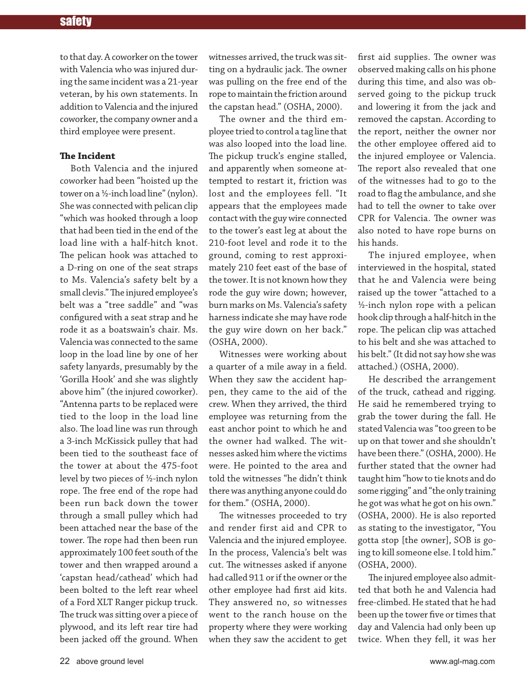to that day. A coworker on the tower with Valencia who was injured during the same incident was a 21-year veteran, by his own statements. In addition to Valencia and the injured coworker, the company owner and a third employee were present.

#### **The Incident**

Both Valencia and the injured coworker had been "hoisted up the tower on a ½-inch load line" (nylon). She was connected with pelican clip "which was hooked through a loop that had been tied in the end of the load line with a half-hitch knot. The pelican hook was attached to a D-ring on one of the seat straps to Ms. Valencia's safety belt by a small clevis." The injured employee's belt was a "tree saddle" and "was configured with a seat strap and he rode it as a boatswain's chair. Ms. Valencia was connected to the same loop in the load line by one of her safety lanyards, presumably by the 'Gorilla Hook' and she was slightly above him" (the injured coworker). "Antenna parts to be replaced were tied to the loop in the load line also. The load line was run through a 3-inch McKissick pulley that had been tied to the southeast face of the tower at about the 475-foot level by two pieces of ½-inch nylon rope. The free end of the rope had been run back down the tower through a small pulley which had been attached near the base of the tower. The rope had then been run approximately 100 feet south of the tower and then wrapped around a 'capstan head/cathead' which had been bolted to the left rear wheel of a Ford XLT Ranger pickup truck. The truck was sitting over a piece of plywood, and its left rear tire had been jacked off the ground. When

witnesses arrived, the truck was sitting on a hydraulic jack. The owner was pulling on the free end of the rope to maintain the friction around the capstan head." (OSHA, 2000).

The owner and the third employee tried to control a tag line that was also looped into the load line. The pickup truck's engine stalled, and apparently when someone attempted to restart it, friction was lost and the employees fell. "It appears that the employees made contact with the guy wire connected to the tower's east leg at about the 210-foot level and rode it to the ground, coming to rest approximately 210 feet east of the base of the tower. It is not known how they rode the guy wire down; however, burn marks on Ms. Valencia's safety harness indicate she may have rode the guy wire down on her back." (OSHA, 2000).

Witnesses were working about a quarter of a mile away in a field. When they saw the accident happen, they came to the aid of the crew. When they arrived, the third employee was returning from the east anchor point to which he and the owner had walked. The witnesses asked him where the victims were. He pointed to the area and told the witnesses "he didn't think there was anything anyone could do for them." (OSHA, 2000).

The witnesses proceeded to try and render first aid and CPR to Valencia and the injured employee. In the process, Valencia's belt was cut. The witnesses asked if anyone had called 911 or if the owner or the other employee had first aid kits. They answered no, so witnesses went to the ranch house on the property where they were working when they saw the accident to get

first aid supplies. The owner was observed making calls on his phone during this time, and also was observed going to the pickup truck and lowering it from the jack and removed the capstan. According to the report, neither the owner nor the other employee offered aid to the injured employee or Valencia. The report also revealed that one of the witnesses had to go to the road to flag the ambulance, and she had to tell the owner to take over CPR for Valencia. The owner was also noted to have rope burns on his hands.

The injured employee, when interviewed in the hospital, stated that he and Valencia were being raised up the tower "attached to a ½-inch nylon rope with a pelican hook clip through a half-hitch in the rope. The pelican clip was attached to his belt and she was attached to his belt." (It did not say how she was attached.) (OSHA, 2000).

He described the arrangement of the truck, cathead and rigging. He said he remembered trying to grab the tower during the fall. He stated Valencia was "too green to be up on that tower and she shouldn't have been there." (OSHA, 2000). He further stated that the owner had taught him "how to tie knots and do some rigging" and "the only training he got was what he got on his own." (OSHA, 2000). He is also reported as stating to the investigator, "You gotta stop [the owner], SOB is going to kill someone else. I told him." (OSHA, 2000).

The injured employee also admitted that both he and Valencia had free-climbed. He stated that he had been up the tower five or times that day and Valencia had only been up twice. When they fell, it was her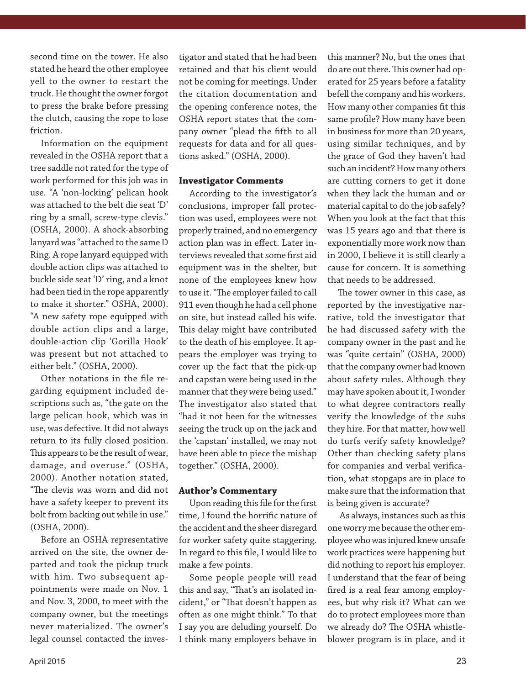second time on the tower. He also stated he heard the other employee yell to the owner to restart the truck. He thought the owner forgot to press the brake before pressing the clutch, causing the rope to lose friction.

Information on the equipment revealed in the OSHA report that a tree saddle not rated for the type of work performed for this job was in use. "A 'non-locking' pelican hook was attached to the belt die seat 'D' ring by a small, screw-type clevis." (OSHA, 2000). A shock-absorbing lanyard was "attached to the same D Ring. A rope lanyard equipped with double action clips was attached to buckle side seat 'D' ring, and a knot had been tied in the rope apparently to make it shorter." OSHA, 2000). "A new safety rope equipped with double action clips and a large, double-action clip 'Gorilla Hook' was present but not attached to either belt." (OSHA, 2000).

Other notations in the file regarding equipment included descriptions such as, "the gate on the large pelican hook, which was in use, was defective. It did not always return to its fully closed position. This appears to be the result of wear, damage, and overuse." (OSHA, 2000). Another notation stated, "The clevis was worn and did not have a safety keeper to prevent its bolt from backing out while in use." (OSHA, 2000).

Before an OSHA representative arrived on the site, the owner departed and took the pickup truck with him. Two subsequent appointments were made on Nov. 1 and Nov. 3, 2000, to meet with the company owner, but the meetings never materialized. The owner's legal counsel contacted the investigator and stated that he had been retained and that his client would not be coming for meetings. Under the citation documentation and the opening conference notes, the OSHA report states that the company owner "plead the fifth to all requests for data and for all questions asked." (OSHA, 2000).

#### **Investigator Comments**

According to the investigator's conclusions, improper fall protection was used, employees were not properly trained, and no emergency action plan was in effect. Later interviews revealed that some first aid equipment was in the shelter, but none of the employees knew how to use it. "The employer failed to call 911 even though he had a cell phone on site, but instead called his wife. This delay might have contributed to the death of his employee. It appears the employer was trying to cover up the fact that the pick-up and capstan were being used in the manner that they were being used." The investigator also stated that "had it not been for the witnesses seeing the truck up on the jack and the 'capstan' installed, we may not have been able to piece the mishap together." (OSHA, 2000).

#### **Author's Commentary**

Upon reading this file for the first time, I found the horrific nature of the accident and the sheer disregard for worker safety quite staggering. In regard to this file, I would like to make a few points.

Some people people will read this and say, "That's an isolated incident," or "That doesn't happen as often as one might think." To that I say you are deluding yourself. Do I think many employers behave in

this manner? No, but the ones that do are out there. This owner had operated for 25 years before a fatality befell the company and his workers. How many other companies fit this same profile? How many have been in business for more than 20 years, using similar techniques, and by the grace of God they haven't had such an incident? How many others are cutting corners to get it done when they lack the human and or material capital to do the job safely? When you look at the fact that this was 15 years ago and that there is exponentially more work now than in 2000, I believe it is still clearly a cause for concern. It is something that needs to be addressed.

The tower owner in this case, as reported by the investigative narrative, told the investigator that he had discussed safety with the company owner in the past and he was "quite certain" (OSHA, 2000) that the company owner had known about safety rules. Although they may have spoken about it, I wonder to what degree contractors really verify the knowledge of the subs they hire. For that matter, how well do turfs verify safety knowledge? Other than checking safety plans for companies and verbal verification, what stopgaps are in place to make sure that the information that is being given is accurate?

 As always, instances such as this one worry me because the other employee who was injured knew unsafe work practices were happening but did nothing to report his employer. I understand that the fear of being fired is a real fear among employees, but why risk it? What can we do to protect employees more than we already do? The OSHA whistleblower program is in place, and it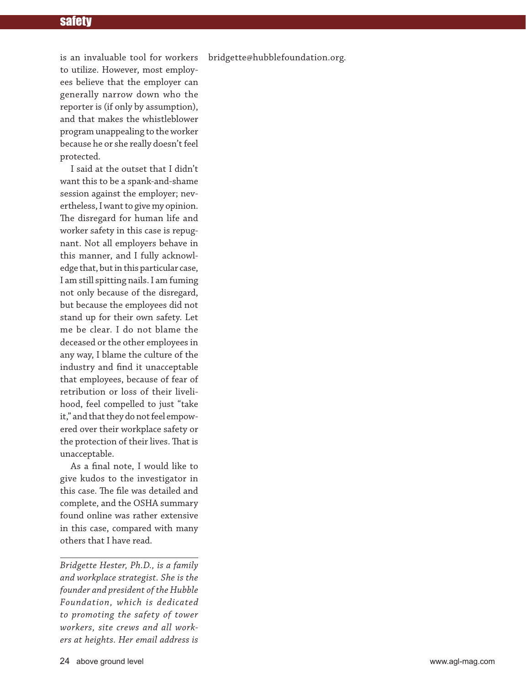#### safety

bridgette@hubblefoundation.org*.* 

is an invaluable tool for workers to utilize. However, most employees believe that the employer can generally narrow down who the reporter is (if only by assumption), and that makes the whistleblower program unappealing to the worker because he or she really doesn't feel protected.

I said at the outset that I didn't want this to be a spank-and-shame session against the employer; nevertheless, I want to give my opinion. The disregard for human life and worker safety in this case is repugnant. Not all employers behave in this manner, and I fully acknowledge that, but in this particular case, I am still spitting nails. I am fuming not only because of the disregard, but because the employees did not stand up for their own safety. Let me be clear. I do not blame the deceased or the other employees in any way, I blame the culture of the industry and find it unacceptable that employees, because of fear of retribution or loss of their livelihood, feel compelled to just "take it," and that they do not feel empowered over their workplace safety or the protection of their lives. That is unacceptable.

As a final note, I would like to give kudos to the investigator in this case. The file was detailed and complete, and the OSHA summary found online was rather extensive in this case, compared with many others that I have read.

*Bridgette Hester, Ph.D., is a family and workplace strategist. She is the founder and president of the Hubble Foundation, which is dedicated to promoting the safety of tower workers, site crews and all workers at heights. Her email address is*